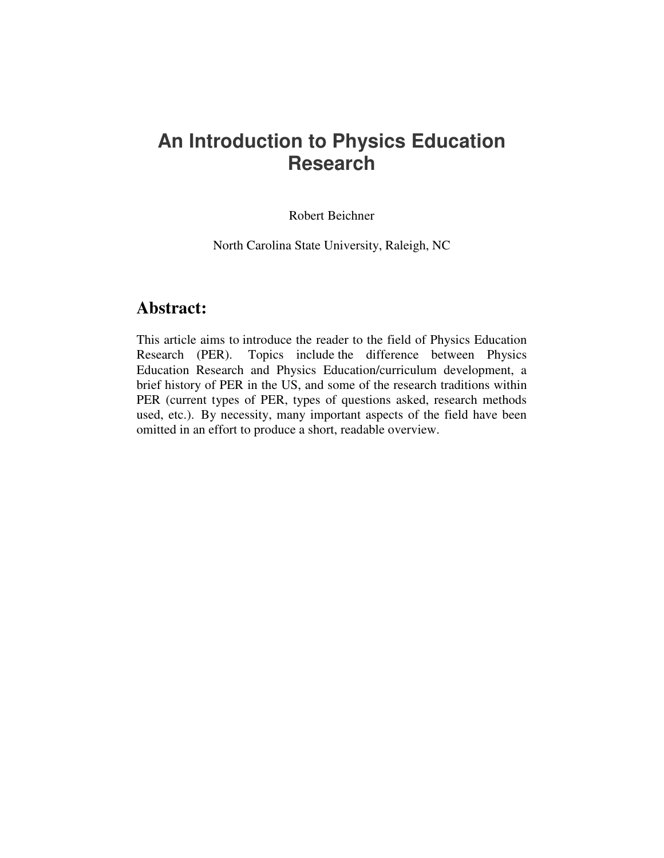# **An Introduction to Physics Education Research**

Robert Beichner

North Carolina State University, Raleigh, NC

# **Abstract:**

This article aims to introduce the reader to the field of Physics Education Research (PER). Topics include the difference between Physics Education Research and Physics Education/curriculum development, a brief history of PER in the US, and some of the research traditions within PER (current types of PER, types of questions asked, research methods used, etc.). By necessity, many important aspects of the field have been omitted in an effort to produce a short, readable overview.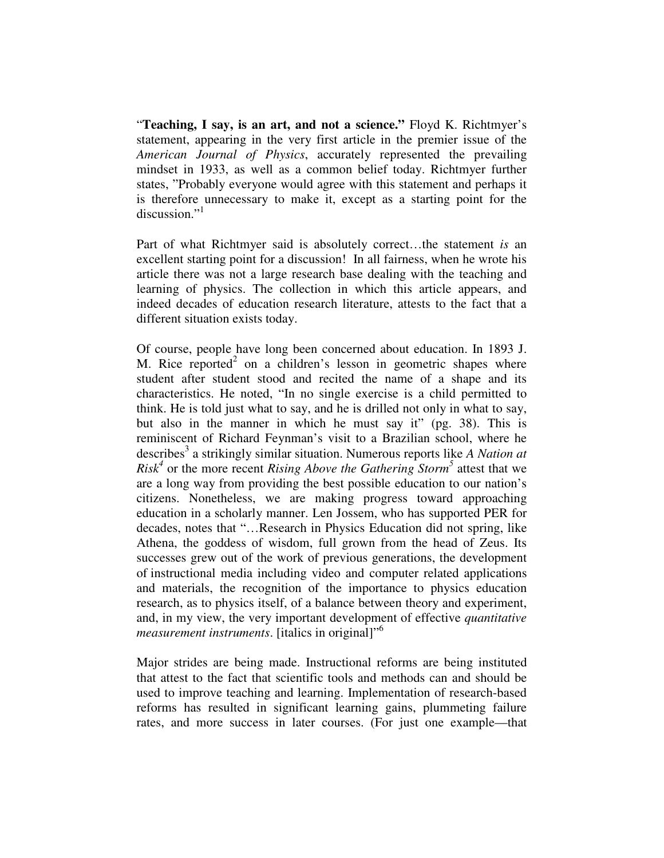"**Teaching, I say, is an art, and not a science."** Floyd K. Richtmyer's statement, appearing in the very first article in the premier issue of the *American Journal of Physics*, accurately represented the prevailing mindset in 1933, as well as a common belief today. Richtmyer further states, "Probably everyone would agree with this statement and perhaps it is therefore unnecessary to make it, except as a starting point for the discussion."<sup>1</sup>

Part of what Richtmyer said is absolutely correct…the statement *is* an excellent starting point for a discussion! In all fairness, when he wrote his article there was not a large research base dealing with the teaching and learning of physics. The collection in which this article appears, and indeed decades of education research literature, attests to the fact that a different situation exists today.

Of course, people have long been concerned about education. In 1893 J. M. Rice reported<sup>2</sup> on a children's lesson in geometric shapes where student after student stood and recited the name of a shape and its characteristics. He noted, "In no single exercise is a child permitted to think. He is told just what to say, and he is drilled not only in what to say, but also in the manner in which he must say it" (pg. 38). This is reminiscent of Richard Feynman's visit to a Brazilian school, where he describes 3 a strikingly similar situation. Numerous reports like *A Nation at*  $Risk<sup>4</sup>$  or the more recent *Rising Above the Gathering Storm*<sup>5</sup> attest that we are a long way from providing the best possible education to our nation's citizens. Nonetheless, we are making progress toward approaching education in a scholarly manner. Len Jossem, who has supported PER for decades, notes that "…Research in Physics Education did not spring, like Athena, the goddess of wisdom, full grown from the head of Zeus. Its successes grew out of the work of previous generations, the development of instructional media including video and computer related applications and materials, the recognition of the importance to physics education research, as to physics itself, of a balance between theory and experiment, and, in my view, the very important development of effective *quantitative measurement instruments*. [italics in original]" 6

Major strides are being made. Instructional reforms are being instituted that attest to the fact that scientific tools and methods can and should be used to improve teaching and learning. Implementation of research-based reforms has resulted in significant learning gains, plummeting failure rates, and more success in later courses. (For just one example—that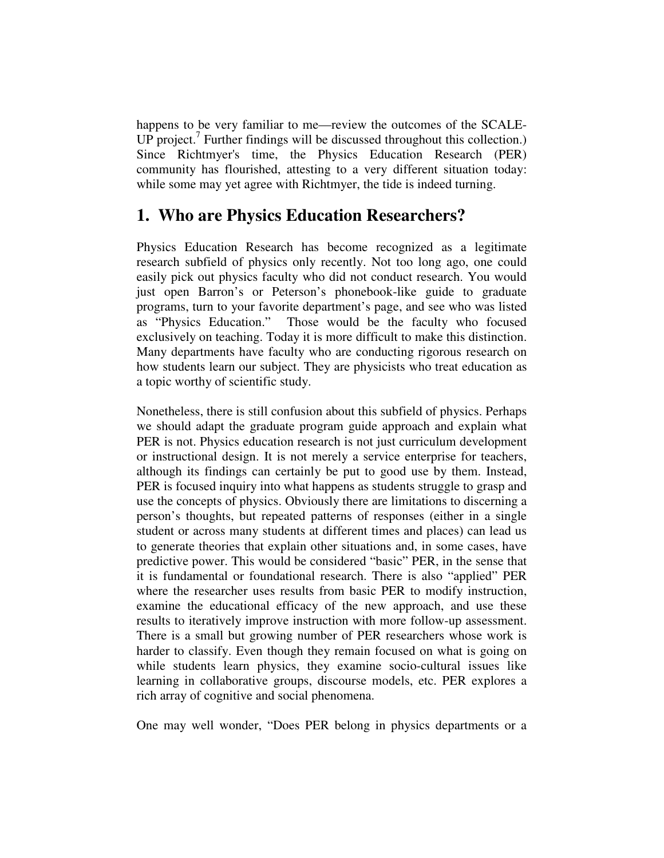happens to be very familiar to me—review the outcomes of the SCALE-UP project.<sup>7</sup> Further findings will be discussed throughout this collection.) Since Richtmyer's time, the Physics Education Research (PER) community has flourished, attesting to a very different situation today: while some may yet agree with Richtmyer, the tide is indeed turning.

# **1. Who are Physics Education Researchers?**

Physics Education Research has become recognized as a legitimate research subfield of physics only recently. Not too long ago, one could easily pick out physics faculty who did not conduct research. You would just open Barron's or Peterson's phonebook-like guide to graduate programs, turn to your favorite department's page, and see who was listed as "Physics Education." Those would be the faculty who focused exclusively on teaching. Today it is more difficult to make this distinction. Many departments have faculty who are conducting rigorous research on how students learn our subject. They are physicists who treat education as a topic worthy of scientific study.

Nonetheless, there is still confusion about this subfield of physics. Perhaps we should adapt the graduate program guide approach and explain what PER is not. Physics education research is not just curriculum development or instructional design. It is not merely a service enterprise for teachers, although its findings can certainly be put to good use by them. Instead, PER is focused inquiry into what happens as students struggle to grasp and use the concepts of physics. Obviously there are limitations to discerning a person's thoughts, but repeated patterns of responses (either in a single student or across many students at different times and places) can lead us to generate theories that explain other situations and, in some cases, have predictive power. This would be considered "basic" PER, in the sense that it is fundamental or foundational research. There is also "applied" PER where the researcher uses results from basic PER to modify instruction, examine the educational efficacy of the new approach, and use these results to iteratively improve instruction with more follow-up assessment. There is a small but growing number of PER researchers whose work is harder to classify. Even though they remain focused on what is going on while students learn physics, they examine socio-cultural issues like learning in collaborative groups, discourse models, etc. PER explores a rich array of cognitive and social phenomena.

One may well wonder, "Does PER belong in physics departments or a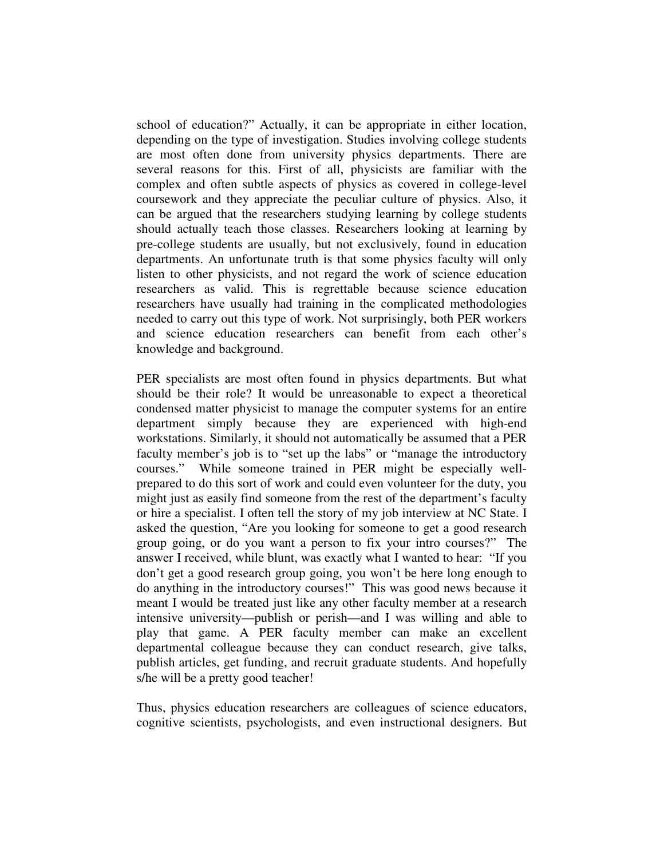school of education?" Actually, it can be appropriate in either location, depending on the type of investigation. Studies involving college students are most often done from university physics departments. There are several reasons for this. First of all, physicists are familiar with the complex and often subtle aspects of physics as covered in college-level coursework and they appreciate the peculiar culture of physics. Also, it can be argued that the researchers studying learning by college students should actually teach those classes. Researchers looking at learning by pre-college students are usually, but not exclusively, found in education departments. An unfortunate truth is that some physics faculty will only listen to other physicists, and not regard the work of science education researchers as valid. This is regrettable because science education researchers have usually had training in the complicated methodologies needed to carry out this type of work. Not surprisingly, both PER workers and science education researchers can benefit from each other's knowledge and background.

PER specialists are most often found in physics departments. But what should be their role? It would be unreasonable to expect a theoretical condensed matter physicist to manage the computer systems for an entire department simply because they are experienced with high-end workstations. Similarly, it should not automatically be assumed that a PER faculty member's job is to "set up the labs" or "manage the introductory courses." While someone trained in PER might be especially wellprepared to do this sort of work and could even volunteer for the duty, you might just as easily find someone from the rest of the department's faculty or hire a specialist. I often tell the story of my job interview at NC State. I asked the question, "Are you looking for someone to get a good research group going, or do you want a person to fix your intro courses?" The answer I received, while blunt, was exactly what I wanted to hear: "If you don't get a good research group going, you won't be here long enough to do anything in the introductory courses!" This was good news because it meant I would be treated just like any other faculty member at a research intensive university—publish or perish—and I was willing and able to play that game. A PER faculty member can make an excellent departmental colleague because they can conduct research, give talks, publish articles, get funding, and recruit graduate students. And hopefully s/he will be a pretty good teacher!

Thus, physics education researchers are colleagues of science educators, cognitive scientists, psychologists, and even instructional designers. But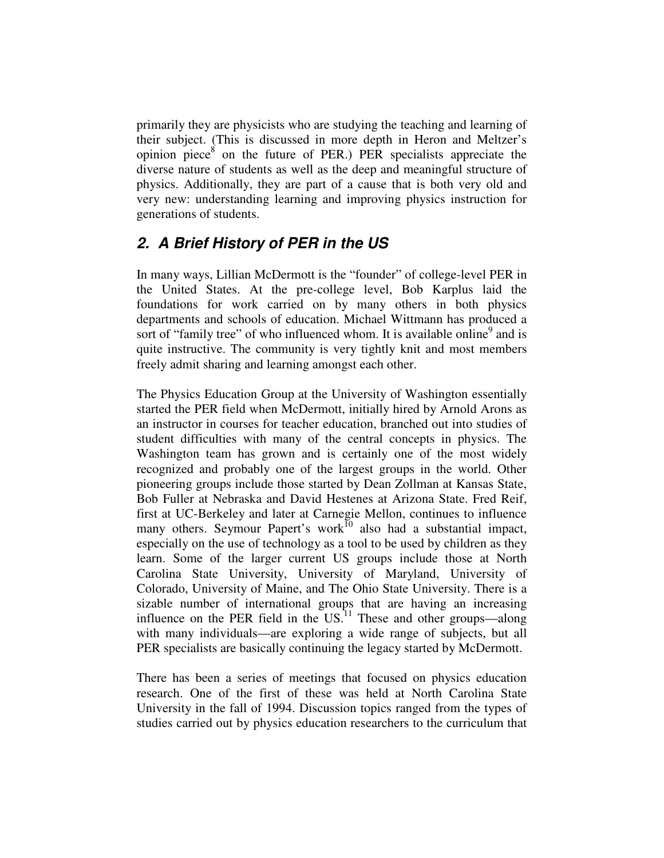primarily they are physicists who are studying the teaching and learning of their subject. (This is discussed in more depth in Heron and Meltzer's opinion piece $\delta$  on the future of PER.) PER specialists appreciate the diverse nature of students as well as the deep and meaningful structure of physics. Additionally, they are part of a cause that is both very old and very new: understanding learning and improving physics instruction for generations of students.

### *2. A Brief History of PER in the US*

In many ways, Lillian McDermott is the "founder" of college-level PER in the United States. At the pre-college level, Bob Karplus laid the foundations for work carried on by many others in both physics departments and schools of education. Michael Wittmann has produced a sort of "family tree" of who influenced whom. It is available online<sup>9</sup> and is quite instructive. The community is very tightly knit and most members freely admit sharing and learning amongst each other.

The Physics Education Group at the University of Washington essentially started the PER field when McDermott, initially hired by Arnold Arons as an instructor in courses for teacher education, branched out into studies of student difficulties with many of the central concepts in physics. The Washington team has grown and is certainly one of the most widely recognized and probably one of the largest groups in the world. Other pioneering groups include those started by Dean Zollman at Kansas State, Bob Fuller at Nebraska and David Hestenes at Arizona State. Fred Reif, first at UC-Berkeley and later at Carnegie Mellon, continues to influence many others. Seymour Papert's work<sup>10</sup> also had a substantial impact, especially on the use of technology as a tool to be used by children as they learn. Some of the larger current US groups include those at North Carolina State University, University of Maryland, University of Colorado, University of Maine, and The Ohio State University. There is a sizable number of international groups that are having an increasing influence on the PER field in the  $US^{11}$  These and other groups—along with many individuals—are exploring a wide range of subjects, but all PER specialists are basically continuing the legacy started by McDermott.

There has been a series of meetings that focused on physics education research. One of the first of these was held at North Carolina State University in the fall of 1994. Discussion topics ranged from the types of studies carried out by physics education researchers to the curriculum that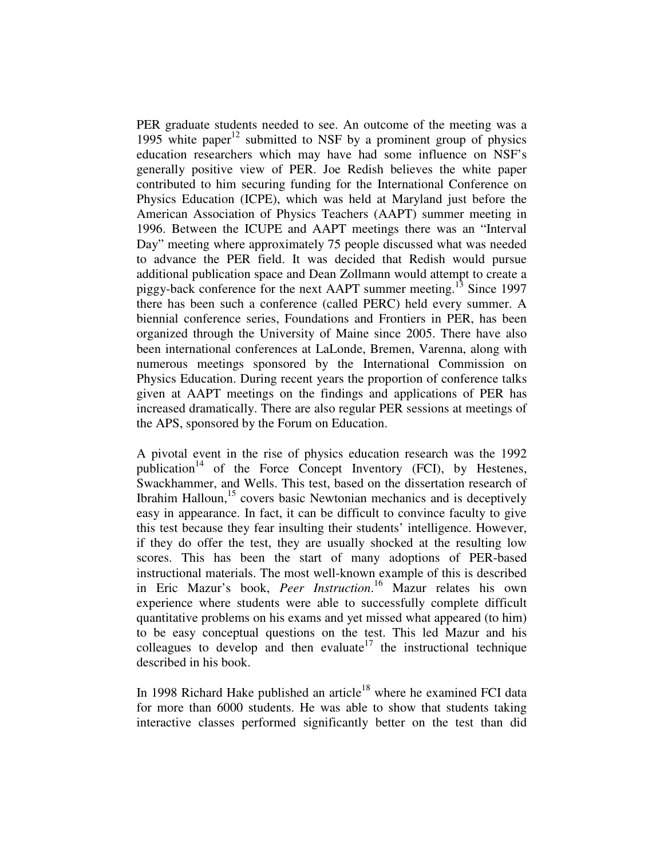PER graduate students needed to see. An outcome of the meeting was a 1995 white paper<sup>12</sup> submitted to NSF by a prominent group of physics education researchers which may have had some influence on NSF's generally positive view of PER. Joe Redish believes the white paper contributed to him securing funding for the International Conference on Physics Education (ICPE), which was held at Maryland just before the American Association of Physics Teachers (AAPT) summer meeting in 1996. Between the ICUPE and AAPT meetings there was an "Interval Day" meeting where approximately 75 people discussed what was needed to advance the PER field. It was decided that Redish would pursue additional publication space and Dean Zollmann would attempt to create a piggy-back conference for the next AAPT summer meeting.<sup>13</sup> Since 1997 there has been such a conference (called PERC) held every summer. A biennial conference series, Foundations and Frontiers in PER, has been organized through the University of Maine since 2005. There have also been international conferences at LaLonde, Bremen, Varenna, along with numerous meetings sponsored by the International Commission on Physics Education. During recent years the proportion of conference talks given at AAPT meetings on the findings and applications of PER has increased dramatically. There are also regular PER sessions at meetings of the APS, sponsored by the Forum on Education.

A pivotal event in the rise of physics education research was the 1992 publication<sup>14</sup> of the Force Concept Inventory (FCI), by Hestenes, Swackhammer, and Wells. This test, based on the dissertation research of Ibrahim Halloun,<sup>15</sup> covers basic Newtonian mechanics and is deceptively easy in appearance. In fact, it can be difficult to convince faculty to give this test because they fear insulting their students' intelligence. However, if they do offer the test, they are usually shocked at the resulting low scores. This has been the start of many adoptions of PER-based instructional materials. The most well-known example of this is described in Eric Mazur's book, *Peer Instruction*. <sup>16</sup> Mazur relates his own experience where students were able to successfully complete difficult quantitative problems on his exams and yet missed what appeared (to him) to be easy conceptual questions on the test. This led Mazur and his colleagues to develop and then evaluate<sup>17</sup> the instructional technique described in his book.

In 1998 Richard Hake published an article<sup>18</sup> where he examined FCI data for more than 6000 students. He was able to show that students taking interactive classes performed significantly better on the test than did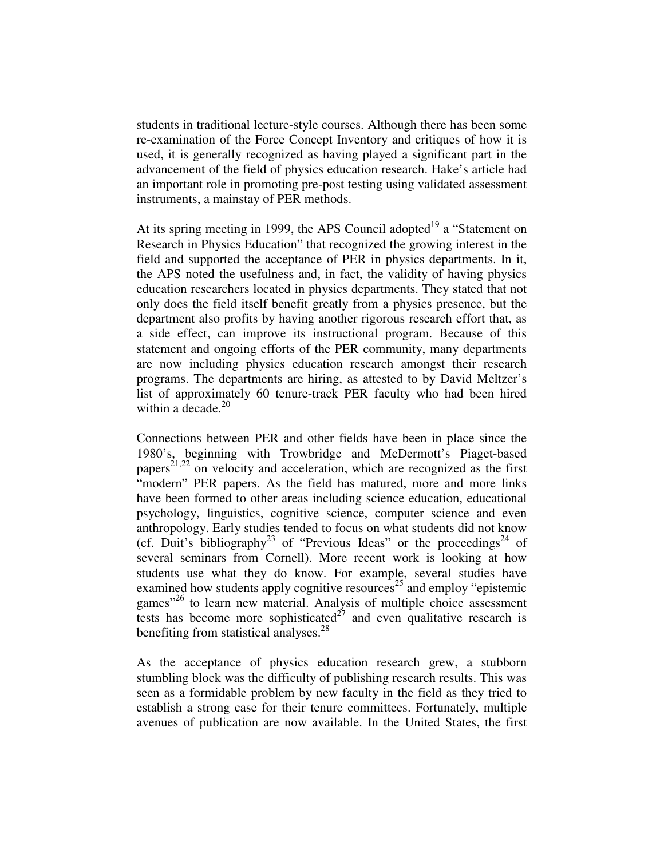students in traditional lecture-style courses. Although there has been some re-examination of the Force Concept Inventory and critiques of how it is used, it is generally recognized as having played a significant part in the advancement of the field of physics education research. Hake's article had an important role in promoting pre-post testing using validated assessment instruments, a mainstay of PER methods.

At its spring meeting in 1999, the APS Council adopted<sup>19</sup> a "Statement on Research in Physics Education" that recognized the growing interest in the field and supported the acceptance of PER in physics departments. In it, the APS noted the usefulness and, in fact, the validity of having physics education researchers located in physics departments. They stated that not only does the field itself benefit greatly from a physics presence, but the department also profits by having another rigorous research effort that, as a side effect, can improve its instructional program. Because of this statement and ongoing efforts of the PER community, many departments are now including physics education research amongst their research programs. The departments are hiring, as attested to by David Meltzer's list of approximately 60 tenure-track PER faculty who had been hired within a decade. 20

Connections between PER and other fields have been in place since the 1980's, beginning with Trowbridge and McDermott's Piaget-based papers<sup>21,22</sup> on velocity and acceleration, which are recognized as the first "modern" PER papers. As the field has matured, more and more links have been formed to other areas including science education, educational psychology, linguistics, cognitive science, computer science and even anthropology. Early studies tended to focus on what students did not know (cf. Duit's bibliography<sup>23</sup> of "Previous Ideas" or the proceedings<sup>24</sup> of several seminars from Cornell). More recent work is looking at how students use what they do know. For example, several studies have examined how students apply cognitive resources<sup>25</sup> and employ "epistemic games"<sup>26</sup> to learn new material. Analysis of multiple choice assessment tests has become more sophisticated $2^7$  and even qualitative research is benefiting from statistical analyses.<sup>28</sup>

As the acceptance of physics education research grew, a stubborn stumbling block was the difficulty of publishing research results. This was seen as a formidable problem by new faculty in the field as they tried to establish a strong case for their tenure committees. Fortunately, multiple avenues of publication are now available. In the United States, the first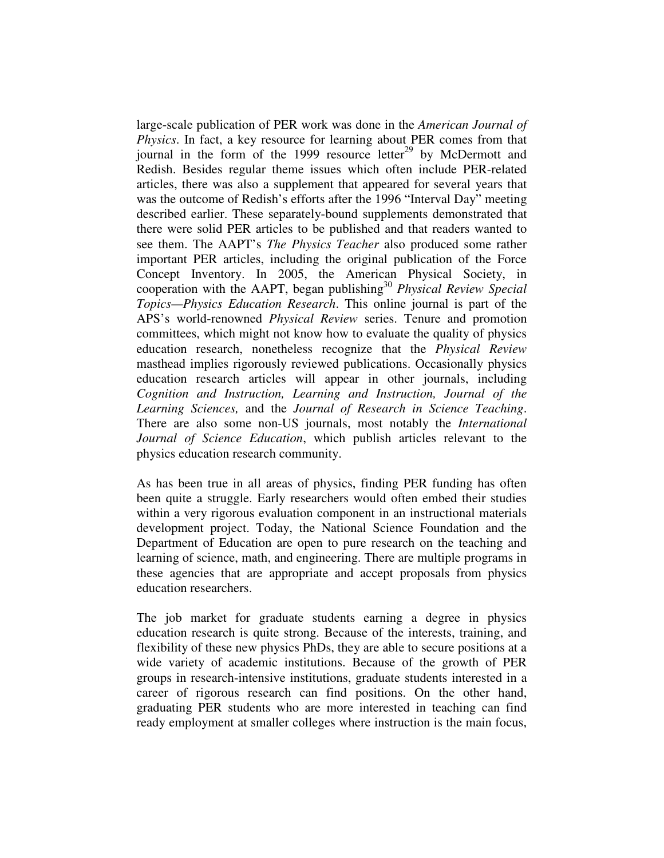large-scale publication of PER work was done in the *American Journal of Physics*. In fact, a key resource for learning about PER comes from that journal in the form of the 1999 resource letter<sup>29</sup> by McDermott and Redish. Besides regular theme issues which often include PER-related articles, there was also a supplement that appeared for several years that was the outcome of Redish's efforts after the 1996 "Interval Day" meeting described earlier. These separately-bound supplements demonstrated that there were solid PER articles to be published and that readers wanted to see them. The AAPT's *The Physics Teacher* also produced some rather important PER articles, including the original publication of the Force Concept Inventory. In 2005, the American Physical Society, in cooperation with the AAPT, began publishing 30 *Physical Review Special Topics—Physics Education Research*. This online journal is part of the APS's world-renowned *Physical Review* series. Tenure and promotion committees, which might not know how to evaluate the quality of physics education research, nonetheless recognize that the *Physical Review* masthead implies rigorously reviewed publications. Occasionally physics education research articles will appear in other journals, including *Cognition and Instruction, Learning and Instruction, Journal of the Learning Sciences,* and the *Journal of Research in Science Teaching*. There are also some non-US journals, most notably the *International Journal of Science Education*, which publish articles relevant to the physics education research community.

As has been true in all areas of physics, finding PER funding has often been quite a struggle. Early researchers would often embed their studies within a very rigorous evaluation component in an instructional materials development project. Today, the National Science Foundation and the Department of Education are open to pure research on the teaching and learning of science, math, and engineering. There are multiple programs in these agencies that are appropriate and accept proposals from physics education researchers.

The job market for graduate students earning a degree in physics education research is quite strong. Because of the interests, training, and flexibility of these new physics PhDs, they are able to secure positions at a wide variety of academic institutions. Because of the growth of PER groups in research-intensive institutions, graduate students interested in a career of rigorous research can find positions. On the other hand, graduating PER students who are more interested in teaching can find ready employment at smaller colleges where instruction is the main focus,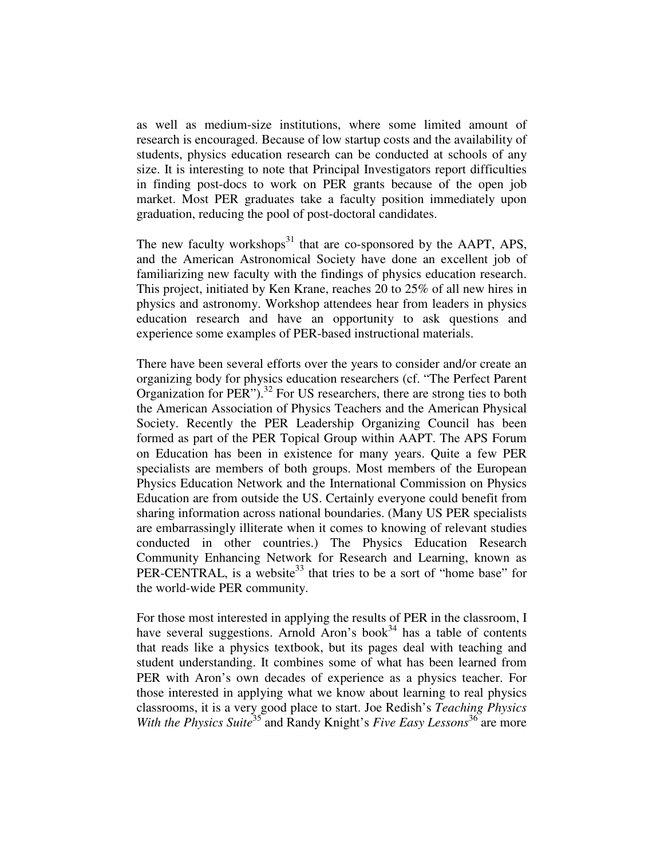as well as medium-size institutions, where some limited amount of research is encouraged. Because of low startup costs and the availability of students, physics education research can be conducted at schools of any size. It is interesting to note that Principal Investigators report difficulties in finding post-docs to work on PER grants because of the open job market. Most PER graduates take a faculty position immediately upon graduation, reducing the pool of post-doctoral candidates.

The new faculty workshops<sup>31</sup> that are co-sponsored by the AAPT, APS, and the American Astronomical Society have done an excellent job of familiarizing new faculty with the findings of physics education research. This project, initiated by Ken Krane, reaches 20 to 25% of all new hires in physics and astronomy. Workshop attendees hear from leaders in physics education research and have an opportunity to ask questions and experience some examples of PER-based instructional materials.

There have been several efforts over the years to consider and/or create an organizing body for physics education researchers (cf. "The Perfect Parent Organization for PER"). $^{32}$  For US researchers, there are strong ties to both the American Association of Physics Teachers and the American Physical Society. Recently the PER Leadership Organizing Council has been formed as part of the PER Topical Group within AAPT. The APS Forum on Education has been in existence for many years. Quite a few PER specialists are members of both groups. Most members of the European Physics Education Network and the International Commission on Physics Education are from outside the US. Certainly everyone could benefit from sharing information across national boundaries. (Many US PER specialists are embarrassingly illiterate when it comes to knowing of relevant studies conducted in other countries.) The Physics Education Research Community Enhancing Network for Research and Learning, known as PER-CENTRAL, is a website<sup>33</sup> that tries to be a sort of "home base" for the world-wide PER community.

For those most interested in applying the results of PER in the classroom, I have several suggestions. Arnold Aron's book<sup>34</sup> has a table of contents that reads like a physics textbook, but its pages deal with teaching and student understanding. It combines some of what has been learned from PER with Aron's own decades of experience as a physics teacher. For those interested in applying what we know about learning to real physics classrooms, it is a very good place to start. Joe Redish's *Teaching Physics* With the Physics Suite<sup>35</sup> and Randy Knight's *Five Easy Lessons*<sup>36</sup> are more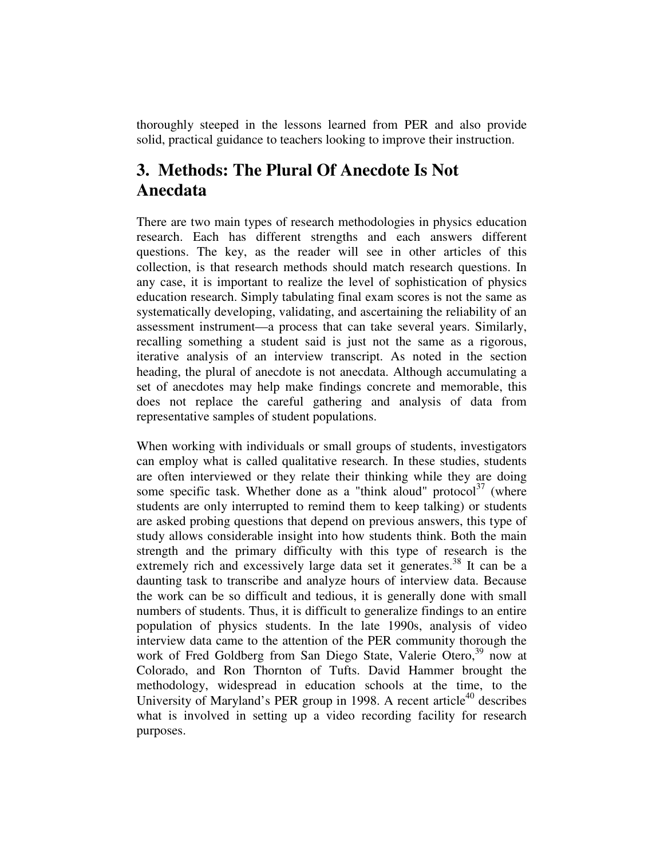thoroughly steeped in the lessons learned from PER and also provide solid, practical guidance to teachers looking to improve their instruction.

# **3. Methods: The Plural Of Anecdote Is Not Anecdata**

There are two main types of research methodologies in physics education research. Each has different strengths and each answers different questions. The key, as the reader will see in other articles of this collection, is that research methods should match research questions. In any case, it is important to realize the level of sophistication of physics education research. Simply tabulating final exam scores is not the same as systematically developing, validating, and ascertaining the reliability of an assessment instrument—a process that can take several years. Similarly, recalling something a student said is just not the same as a rigorous, iterative analysis of an interview transcript. As noted in the section heading, the plural of anecdote is not anecdata. Although accumulating a set of anecdotes may help make findings concrete and memorable, this does not replace the careful gathering and analysis of data from representative samples of student populations.

When working with individuals or small groups of students, investigators can employ what is called qualitative research. In these studies, students are often interviewed or they relate their thinking while they are doing some specific task. Whether done as a "think aloud" protocol $37$  (where students are only interrupted to remind them to keep talking) or students are asked probing questions that depend on previous answers, this type of study allows considerable insight into how students think. Both the main strength and the primary difficulty with this type of research is the extremely rich and excessively large data set it generates.<sup>38</sup> It can be a daunting task to transcribe and analyze hours of interview data. Because the work can be so difficult and tedious, it is generally done with small numbers of students. Thus, it is difficult to generalize findings to an entire population of physics students. In the late 1990s, analysis of video interview data came to the attention of the PER community thorough the work of Fred Goldberg from San Diego State, Valerie Otero,<sup>39</sup> now at Colorado, and Ron Thornton of Tufts. David Hammer brought the methodology, widespread in education schools at the time, to the University of Maryland's PER group in 1998. A recent article<sup>40</sup> describes what is involved in setting up a video recording facility for research purposes.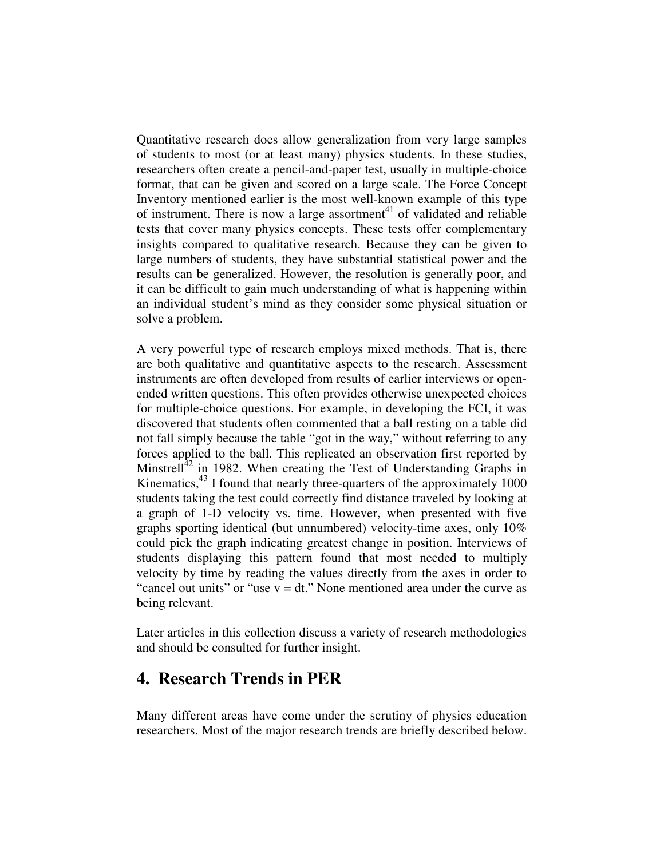Quantitative research does allow generalization from very large samples of students to most (or at least many) physics students. In these studies, researchers often create a pencil-and-paper test, usually in multiple-choice format, that can be given and scored on a large scale. The Force Concept Inventory mentioned earlier is the most well-known example of this type of instrument. There is now a large assortment<sup>41</sup> of validated and reliable tests that cover many physics concepts. These tests offer complementary insights compared to qualitative research. Because they can be given to large numbers of students, they have substantial statistical power and the results can be generalized. However, the resolution is generally poor, and it can be difficult to gain much understanding of what is happening within an individual student's mind as they consider some physical situation or solve a problem.

A very powerful type of research employs mixed methods. That is, there are both qualitative and quantitative aspects to the research. Assessment instruments are often developed from results of earlier interviews or openended written questions. This often provides otherwise unexpected choices for multiple-choice questions. For example, in developing the FCI, it was discovered that students often commented that a ball resting on a table did not fall simply because the table "got in the way," without referring to any forces applied to the ball. This replicated an observation first reported by Minstrell $1^{42}$  in 1982. When creating the Test of Understanding Graphs in Kinematics,<sup>43</sup> I found that nearly three-quarters of the approximately 1000 students taking the test could correctly find distance traveled by looking at a graph of 1-D velocity vs. time. However, when presented with five graphs sporting identical (but unnumbered) velocity-time axes, only 10% could pick the graph indicating greatest change in position. Interviews of students displaying this pattern found that most needed to multiply velocity by time by reading the values directly from the axes in order to "cancel out units" or "use  $v = dt$ ." None mentioned area under the curve as being relevant.

Later articles in this collection discuss a variety of research methodologies and should be consulted for further insight.

# **4. Research Trends in PER**

Many different areas have come under the scrutiny of physics education researchers. Most of the major research trends are briefly described below.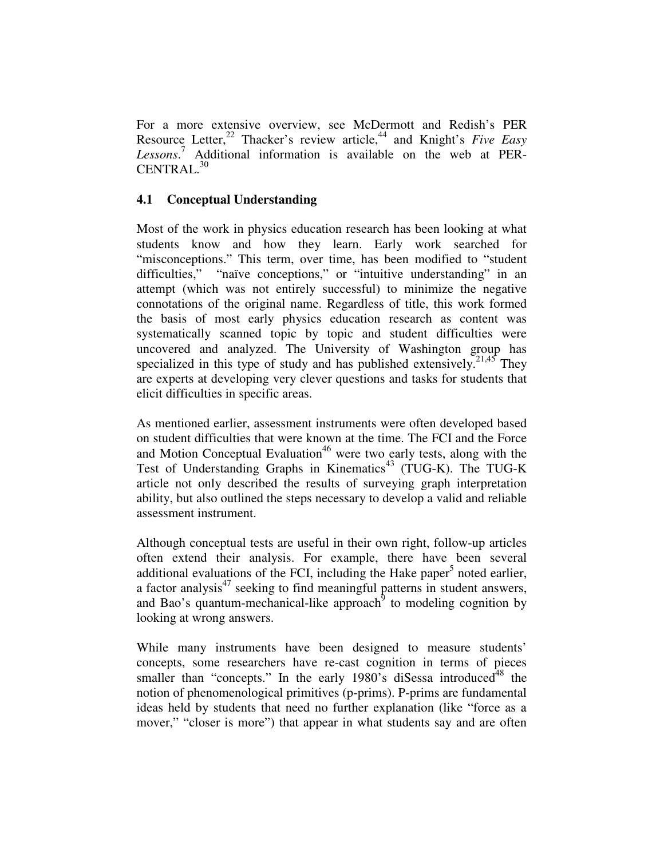For a more extensive overview, see McDermott and Redish's PER Resource Letter, 22 Thacker's review article, 44 and Knight's *Five Easy Lessons*. <sup>7</sup> Additional information is available on the web at PER-CENTRAL. 30

### **4.1 Conceptual Understanding**

Most of the work in physics education research has been looking at what students know and how they learn. Early work searched for "misconceptions." This term, over time, has been modified to "student difficulties," "naïve conceptions," or "intuitive understanding" in an attempt (which was not entirely successful) to minimize the negative connotations of the original name. Regardless of title, this work formed the basis of most early physics education research as content was systematically scanned topic by topic and student difficulties were uncovered and analyzed. The University of Washington group has specialized in this type of study and has published extensively.<sup>21,45</sup> They are experts at developing very clever questions and tasks for students that elicit difficulties in specific areas.

As mentioned earlier, assessment instruments were often developed based on student difficulties that were known at the time. The FCI and the Force and Motion Conceptual Evaluation<sup>46</sup> were two early tests, along with the Test of Understanding Graphs in Kinematics 43 (TUG-K). The TUG-K article not only described the results of surveying graph interpretation ability, but also outlined the steps necessary to develop a valid and reliable assessment instrument.

Although conceptual tests are useful in their own right, follow-up articles often extend their analysis. For example, there have been several additional evaluations of the FCI, including the Hake paper<sup>5</sup> noted earlier, a factor analysis<sup>47</sup> seeking to find meaningful patterns in student answers, and Bao's quantum-mechanical-like approach $9$  to modeling cognition by looking at wrong answers.

While many instruments have been designed to measure students' concepts, some researchers have re-cast cognition in terms of pieces smaller than "concepts." In the early 1980's diSessa introduced<sup>48</sup> the notion of phenomenological primitives (p-prims). P-prims are fundamental ideas held by students that need no further explanation (like "force as a mover," "closer is more") that appear in what students say and are often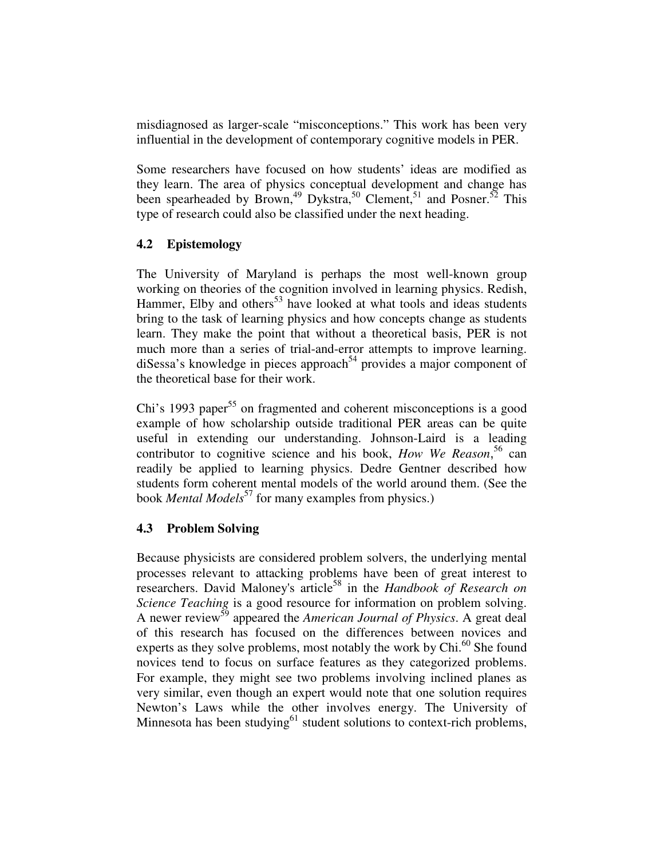misdiagnosed as larger-scale "misconceptions." This work has been very influential in the development of contemporary cognitive models in PER.

Some researchers have focused on how students' ideas are modified as they learn. The area of physics conceptual development and change has been spearheaded by Brown,<sup>49</sup> Dykstra,<sup>50</sup> Clement,<sup>51</sup> and Posner.<sup>52</sup> This type of research could also be classified under the next heading.

### **4.2 Epistemology**

The University of Maryland is perhaps the most well-known group working on theories of the cognition involved in learning physics. Redish, Hammer, Elby and others<sup>53</sup> have looked at what tools and ideas students bring to the task of learning physics and how concepts change as students learn. They make the point that without a theoretical basis, PER is not much more than a series of trial-and-error attempts to improve learning. diSessa's knowledge in pieces approach 54 provides a major component of the theoretical base for their work.

Chi's 1993 paper<sup>55</sup> on fragmented and coherent misconceptions is a good example of how scholarship outside traditional PER areas can be quite useful in extending our understanding. Johnson-Laird is a leading contributor to cognitive science and his book, *How We Reason*, 56 can readily be applied to learning physics. Dedre Gentner described how students form coherent mental models of the world around them. (See the book *Mental Models* 57 for many examples from physics.)

### **4.3 Problem Solving**

Because physicists are considered problem solvers, the underlying mental processes relevant to attacking problems have been of great interest to researchers. David Maloney's article 58 in the *Handbook of Research on Science Teaching* is a good resource for information on problem solving. A newer review 59 appeared the *American Journal of Physics*. A great deal of this research has focused on the differences between novices and experts as they solve problems, most notably the work by Chi.<sup>60</sup> She found novices tend to focus on surface features as they categorized problems. For example, they might see two problems involving inclined planes as very similar, even though an expert would note that one solution requires Newton's Laws while the other involves energy. The University of Minnesota has been studying<sup>61</sup> student solutions to context-rich problems,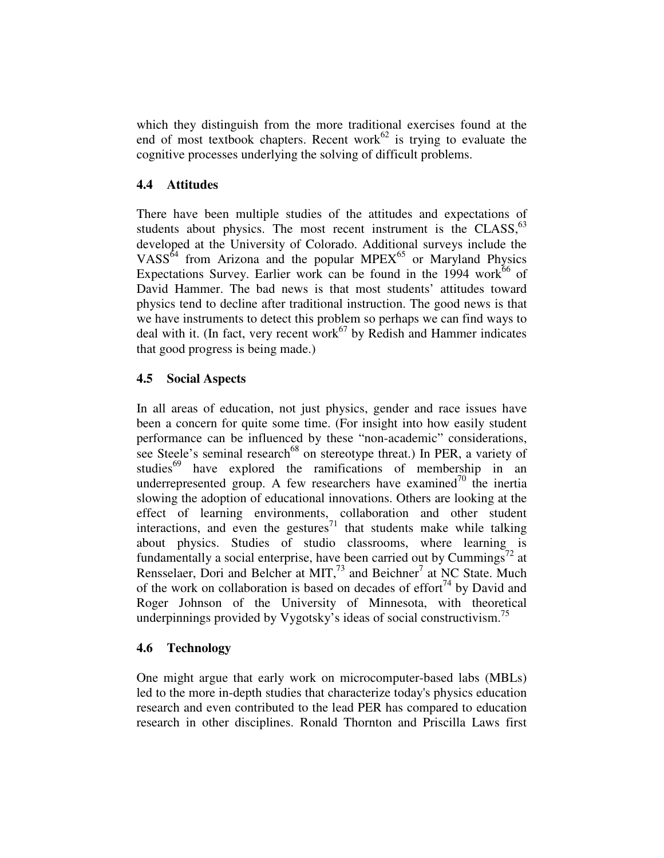which they distinguish from the more traditional exercises found at the end of most textbook chapters. Recent work $62$  is trying to evaluate the cognitive processes underlying the solving of difficult problems.

### **4.4 Attitudes**

There have been multiple studies of the attitudes and expectations of students about physics. The most recent instrument is the CLASS,<sup>63</sup> developed at the University of Colorado. Additional surveys include the VASS<sup>64</sup> from Arizona and the popular MPEX<sup>65</sup> or Maryland Physics Expectations Survey. Earlier work can be found in the 1994 work<sup>66</sup> of David Hammer. The bad news is that most students' attitudes toward physics tend to decline after traditional instruction. The good news is that we have instruments to detect this problem so perhaps we can find ways to deal with it. (In fact, very recent work<sup>67</sup> by Redish and Hammer indicates that good progress is being made.)

### **4.5 Social Aspects**

In all areas of education, not just physics, gender and race issues have been a concern for quite some time. (For insight into how easily student performance can be influenced by these "non-academic" considerations, see Steele's seminal research<sup>68</sup> on stereotype threat.) In PER, a variety of studies<sup>69</sup> have explored the ramifications of membership in an underrepresented group. A few researchers have examined<sup>70</sup> the inertia slowing the adoption of educational innovations. Others are looking at the effect of learning environments, collaboration and other student interactions, and even the gestures<sup>71</sup> that students make while talking about physics. Studies of studio classrooms, where learning is fundamentally a social enterprise, have been carried out by Cummings<sup>72</sup> at Rensselaer, Dori and Belcher at MIT,<sup>73</sup> and Beichner<sup>7</sup> at NC State. Much of the work on collaboration is based on decades of effort $^{74}$  by David and Roger Johnson of the University of Minnesota, with theoretical underpinnings provided by Vygotsky's ideas of social constructivism.<sup>75</sup>

#### **4.6 Technology**

One might argue that early work on microcomputer-based labs (MBLs) led to the more in-depth studies that characterize today's physics education research and even contributed to the lead PER has compared to education research in other disciplines. Ronald Thornton and Priscilla Laws first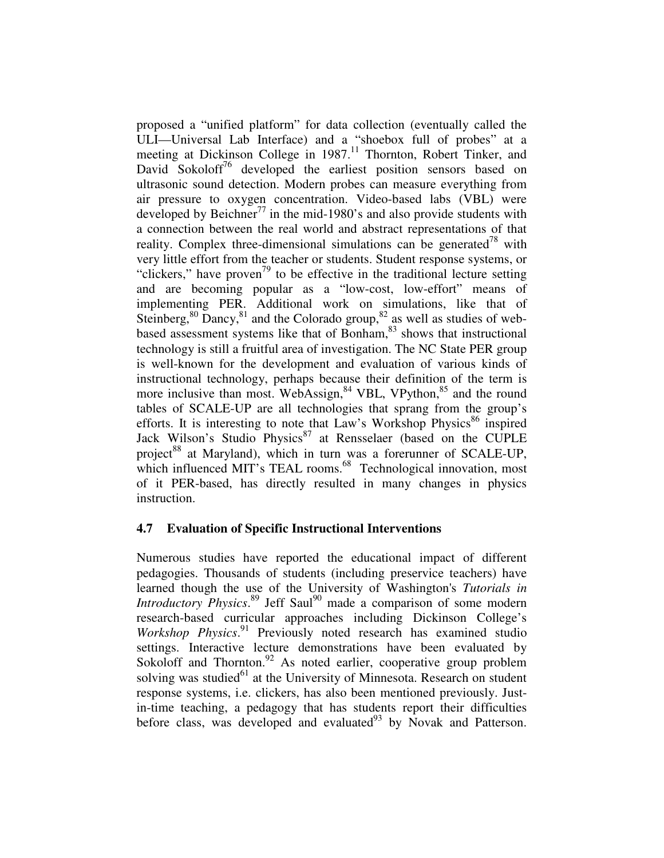proposed a "unified platform" for data collection (eventually called the ULI—Universal Lab Interface) and a "shoebox full of probes" at a meeting at Dickinson College in 1987.<sup>11</sup> Thornton, Robert Tinker, and David Sokoloff<sup>76</sup> developed the earliest position sensors based on ultrasonic sound detection. Modern probes can measure everything from air pressure to oxygen concentration. Video-based labs (VBL) were developed by Beichner<sup>77</sup> in the mid-1980's and also provide students with a connection between the real world and abstract representations of that reality. Complex three-dimensional simulations can be generated<sup>78</sup> with very little effort from the teacher or students. Student response systems, or "clickers," have proven<sup>79</sup> to be effective in the traditional lecture setting and are becoming popular as a "low-cost, low-effort" means of implementing PER. Additional work on simulations, like that of Steinberg,  $80$  Dancy,  $81$  and the Colorado group,  $82$  as well as studies of webbased assessment systems like that of Bonham, 83 shows that instructional technology is still a fruitful area of investigation. The NC State PER group is well-known for the development and evaluation of various kinds of instructional technology, perhaps because their definition of the term is more inclusive than most. WebAssign,<sup>84</sup> VBL, VPython,<sup>85</sup> and the round tables of SCALE-UP are all technologies that sprang from the group's efforts. It is interesting to note that Law's Workshop Physics<sup>86</sup> inspired Jack Wilson's Studio Physics<sup>87</sup> at Rensselaer (based on the CUPLE project<sup>88</sup> at Maryland), which in turn was a forerunner of SCALE-UP, which influenced MIT's TEAL rooms.<sup>68</sup> Technological innovation, most of it PER-based, has directly resulted in many changes in physics instruction.

#### **4.7 Evaluation of Specific Instructional Interventions**

Numerous studies have reported the educational impact of different pedagogies. Thousands of students (including preservice teachers) have learned though the use of the University of Washington's *Tutorials in* Introductory Physics.<sup>89</sup> Jeff Saul<sup>90</sup> made a comparison of some modern research-based curricular approaches including Dickinson College's Workshop Physics.<sup>91</sup> Previously noted research has examined studio settings. Interactive lecture demonstrations have been evaluated by Sokoloff and Thornton.<sup>92</sup> As noted earlier, cooperative group problem solving was studied<sup>61</sup> at the University of Minnesota. Research on student response systems, i.e. clickers, has also been mentioned previously. Justin-time teaching, a pedagogy that has students report their difficulties before class, was developed and evaluated<sup>93</sup> by Novak and Patterson.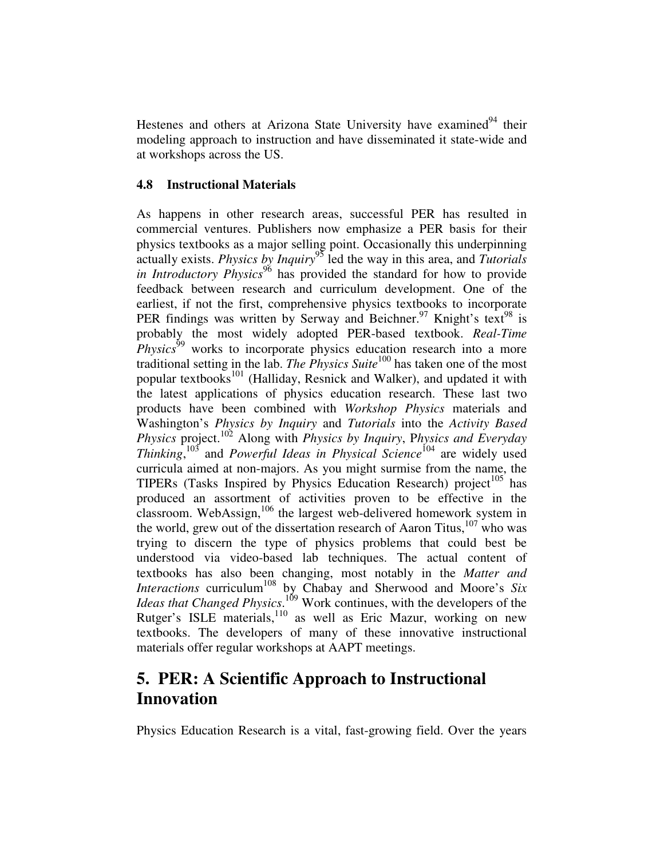Hestenes and others at Arizona State University have examined<sup>94</sup> their modeling approach to instruction and have disseminated it state-wide and at workshops across the US.

#### **4.8 Instructional Materials**

As happens in other research areas, successful PER has resulted in commercial ventures. Publishers now emphasize a PER basis for their physics textbooks as a major selling point. Occasionally this underpinning actually exists. *Physics by Inquiry* 95 led the way in this area, and *Tutorials in Introductory Physics* 96 has provided the standard for how to provide feedback between research and curriculum development. One of the earliest, if not the first, comprehensive physics textbooks to incorporate PER findings was written by Serway and Beichner.<sup>97</sup> Knight's text<sup>98</sup> is probably the most widely adopted PER-based textbook. *Real-Time Physics*<sup>99</sup> works to incorporate physics education research into a more traditional setting in the lab. *The Physics Suite* 100 has taken one of the most popular textbooks<sup>101</sup> (Halliday, Resnick and Walker), and updated it with the latest applications of physics education research. These last two products have been combined with *Workshop Physics* materials and Washington's *Physics by Inquiry* and *Tutorials* into the *Activity Based Physics* project. <sup>102</sup> Along with *Physics by Inquiry*, P*hysics and Everyday Thinking*, 103 and *Powerful Ideas in Physical Science* 104 are widely used curricula aimed at non-majors. As you might surmise from the name, the TIPERs (Tasks Inspired by Physics Education Research) project<sup>105</sup> has produced an assortment of activities proven to be effective in the classroom. WebAssign,<sup>106</sup> the largest web-delivered homework system in the world, grew out of the dissertation research of Aaron Titus,<sup>107</sup> who was trying to discern the type of physics problems that could best be understood via video-based lab techniques. The actual content of textbooks has also been changing, most notably in the *Matter and Interactions* curriculum 108 by Chabay and Sherwood and Moore's *Six Ideas that Changed Physics*. <sup>109</sup> Work continues, with the developers of the Rutger's ISLE materials,<sup>110</sup> as well as Eric Mazur, working on new textbooks. The developers of many of these innovative instructional materials offer regular workshops at AAPT meetings.

# **5. PER: A Scientific Approach to Instructional Innovation**

Physics Education Research is a vital, fast-growing field. Over the years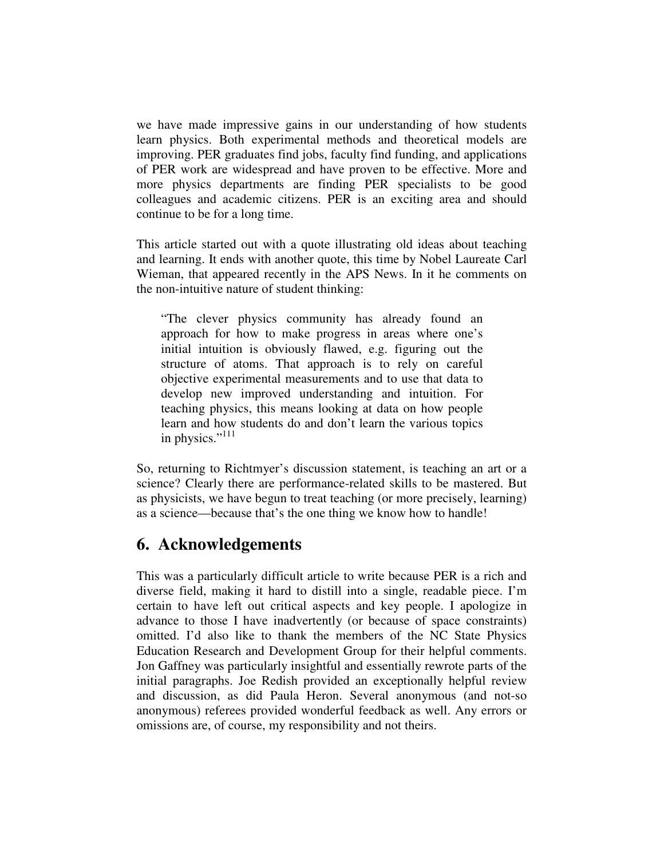we have made impressive gains in our understanding of how students learn physics. Both experimental methods and theoretical models are improving. PER graduates find jobs, faculty find funding, and applications of PER work are widespread and have proven to be effective. More and more physics departments are finding PER specialists to be good colleagues and academic citizens. PER is an exciting area and should continue to be for a long time.

This article started out with a quote illustrating old ideas about teaching and learning. It ends with another quote, this time by Nobel Laureate Carl Wieman, that appeared recently in the APS News. In it he comments on the non-intuitive nature of student thinking:

"The clever physics community has already found an approach for how to make progress in areas where one's initial intuition is obviously flawed, e.g. figuring out the structure of atoms. That approach is to rely on careful objective experimental measurements and to use that data to develop new improved understanding and intuition. For teaching physics, this means looking at data on how people learn and how students do and don't learn the various topics in physics."<sup>111</sup>

So, returning to Richtmyer's discussion statement, is teaching an art or a science? Clearly there are performance-related skills to be mastered. But as physicists, we have begun to treat teaching (or more precisely, learning) as a science—because that's the one thing we know how to handle!

### **6. Acknowledgements**

This was a particularly difficult article to write because PER is a rich and diverse field, making it hard to distill into a single, readable piece. I'm certain to have left out critical aspects and key people. I apologize in advance to those I have inadvertently (or because of space constraints) omitted. I'd also like to thank the members of the NC State Physics Education Research and Development Group for their helpful comments. Jon Gaffney was particularly insightful and essentially rewrote parts of the initial paragraphs. Joe Redish provided an exceptionally helpful review and discussion, as did Paula Heron. Several anonymous (and not-so anonymous) referees provided wonderful feedback as well. Any errors or omissions are, of course, my responsibility and not theirs.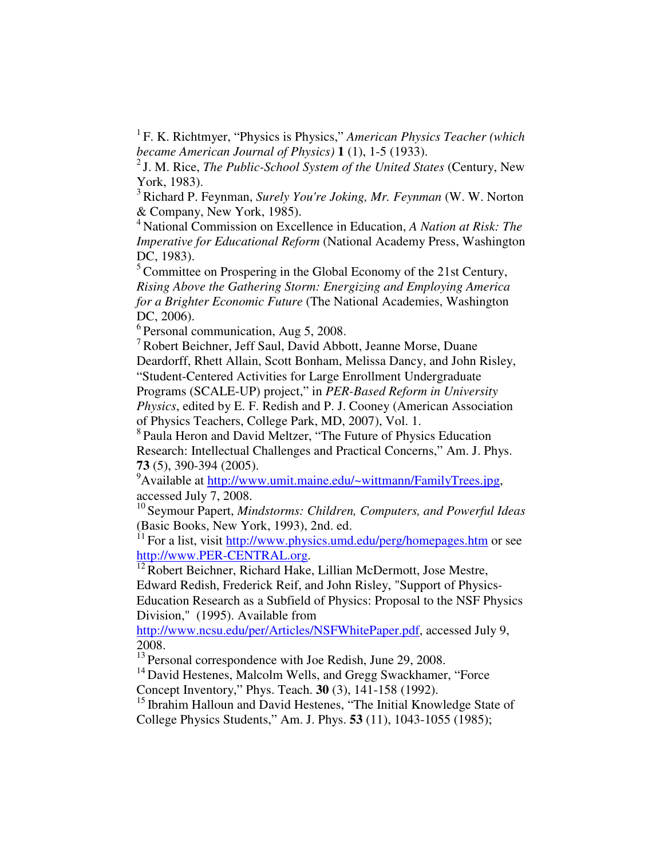1 F. K. Richtmyer, "Physics is Physics," *American Physics Teacher (which became American Journal of Physics)* **1** (1), 1-5 (1933).

2 J. M. Rice, *The Public-School System of the United States* (Century, New York, 1983).

<sup>3</sup> Richard P. Feynman, *Surely You're Joking, Mr. Feynman* (W. W. Norton & Company, New York, 1985).

<sup>4</sup> National Commission on Excellence in Education, *A Nation at Risk: The Imperative for Educational Reform* (National Academy Press, Washington DC, 1983).

 $<sup>5</sup>$  Committee on Prospering in the Global Economy of the 21st Century,</sup> *Rising Above the Gathering Storm: Energizing and Employing America for a Brighter Economic Future* (The National Academies, Washington DC, 2006).

<sup>6</sup> Personal communication, Aug 5, 2008.

<sup>7</sup> Robert Beichner, Jeff Saul, David Abbott, Jeanne Morse, Duane Deardorff, Rhett Allain, Scott Bonham, Melissa Dancy, and John Risley, "Student-Centered Activities for Large Enrollment Undergraduate

Programs (SCALE-UP) project," in *PER-Based Reform in University Physics*, edited by E. F. Redish and P. J. Cooney (American Association of Physics Teachers, College Park, MD, 2007), Vol. 1.

<sup>8</sup> Paula Heron and David Meltzer, "The Future of Physics Education Research: Intellectual Challenges and Practical Concerns," Am. J. Phys. **73** (5), 390-394 (2005).

<sup>9</sup>Available at http://www.umit.maine.edu/~wittmann/FamilyTrees.jpg, accessed July 7, 2008.

10 Seymour Papert, *Mindstorms: Children, Computers, and Powerful Ideas* (Basic Books, New York, 1993), 2nd. ed.

<sup>11</sup> For a list, visit http://www.physics.umd.edu/perg/homepages.htm or see http://www.PER-CENTRAL.org.

<sup>12</sup> Robert Beichner, Richard Hake, Lillian McDermott, Jose Mestre,

Edward Redish, Frederick Reif, and John Risley, "Support of Physics-

Education Research as a Subfield of Physics: Proposal to the NSF Physics Division," (1995). Available from

http://www.ncsu.edu/per/Articles/NSFWhitePaper.pdf, accessed July 9, 2008.

<sup>13</sup> Personal correspondence with Joe Redish, June 29, 2008.

<sup>14</sup> David Hestenes, Malcolm Wells, and Gregg Swackhamer, "Force Concept Inventory," Phys. Teach. **30** (3), 141-158 (1992).

<sup>15</sup> Ibrahim Halloun and David Hestenes, "The Initial Knowledge State of College Physics Students," Am. J. Phys. **53** (11), 1043-1055 (1985);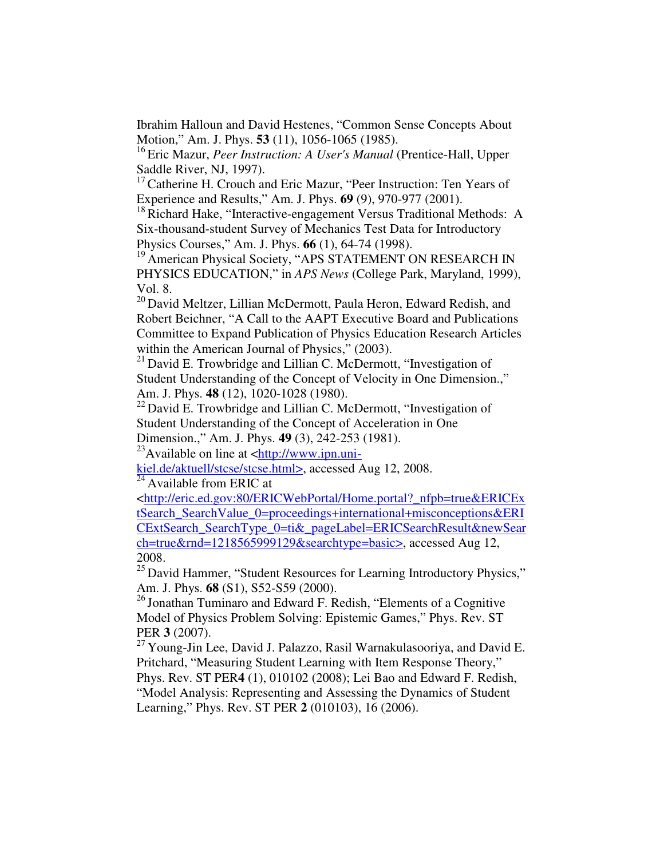Ibrahim Halloun and David Hestenes, "Common Sense Concepts About Motion," Am. J. Phys. **53** (11), 1056-1065 (1985).

16 Eric Mazur, *Peer Instruction: A User's Manual* (Prentice-Hall, Upper Saddle River, NJ, 1997).

<sup>17</sup> Catherine H. Crouch and Eric Mazur, "Peer Instruction: Ten Years of Experience and Results," Am. J. Phys. **69** (9), 970-977 (2001).

<sup>18</sup> Richard Hake, "Interactive-engagement Versus Traditional Methods: A Six-thousand-student Survey of Mechanics Test Data for Introductory Physics Courses," Am. J. Phys. **66** (1), 64-74 (1998).

<sup>19</sup> American Physical Society, "APS STATEMENT ON RESEARCH IN PHYSICS EDUCATION," in *APS News* (College Park, Maryland, 1999), Vol. 8.

<sup>20</sup> David Meltzer, Lillian McDermott, Paula Heron, Edward Redish, and Robert Beichner, "A Call to the AAPT Executive Board and Publications Committee to Expand Publication of Physics Education Research Articles within the American Journal of Physics," (2003).

 $21$  David E. Trowbridge and Lillian C. McDermott, "Investigation of Student Understanding of the Concept of Velocity in One Dimension.," Am. J. Phys. **48** (12), 1020-1028 (1980).

 $22$  David E. Trowbridge and Lillian C. McDermott, "Investigation of Student Understanding of the Concept of Acceleration in One

Dimension.," Am. J. Phys. **49** (3), 242-253 (1981).

 $^{23}$ Available on line at <http://www.ipn.uni-

kiel.de/aktuell/stcse/stcse.html>, accessed Aug 12, 2008.  $^{24}$  Available from ERIC at

<http://eric.ed.gov:80/ERICWebPortal/Home.portal?\_nfpb=true&ERICEx tSearch\_SearchValue\_0=proceedings+international+misconceptions&ERI CExtSearch\_SearchType\_0=ti&\_pageLabel=ERICSearchResult&newSear ch=true&rnd=1218565999129&searchtype=basic>, accessed Aug 12, 2008.

<sup>25</sup> David Hammer, "Student Resources for Learning Introductory Physics," Am. J. Phys. **68** (S1), S52-S59 (2000).

<sup>26</sup> Jonathan Tuminaro and Edward F. Redish, "Elements of a Cognitive Model of Physics Problem Solving: Epistemic Games," Phys. Rev. ST PER **3** (2007).

 $^{27}$  Young-Jin Lee, David J. Palazzo, Rasil Warnakulasooriya, and David E. Pritchard, "Measuring Student Learning with Item Response Theory,"

Phys. Rev. ST PER**4** (1), 010102 (2008); Lei Bao and Edward F. Redish, "Model Analysis: Representing and Assessing the Dynamics of Student Learning," Phys. Rev. ST PER **2** (010103), 16 (2006).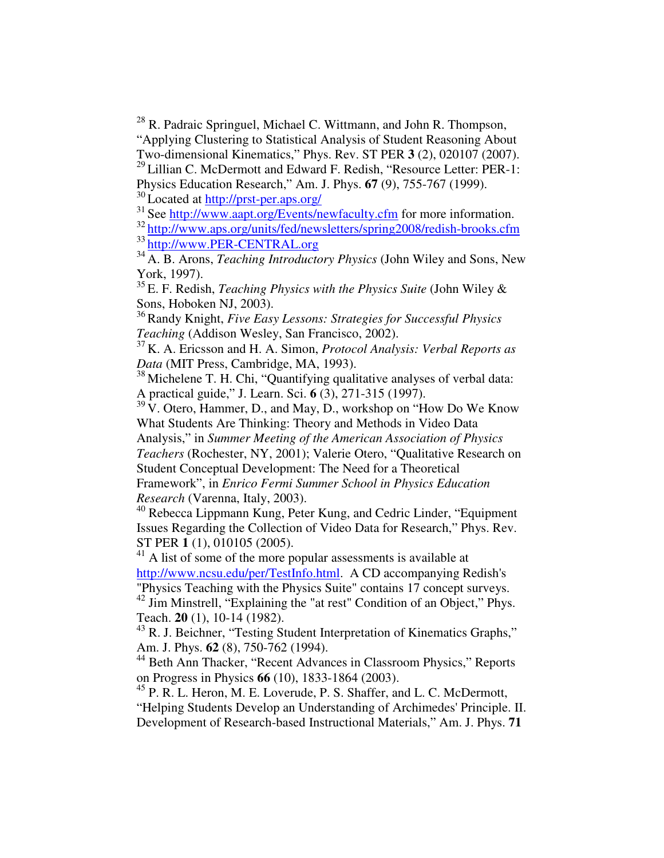<sup>28</sup> R. Padraic Springuel, Michael C. Wittmann, and John R. Thompson, "Applying Clustering to Statistical Analysis of Student Reasoning About Two-dimensional Kinematics," Phys. Rev. ST PER **3** (2), 020107 (2007).

<sup>29</sup> Lillian C. McDermott and Edward F. Redish, "Resource Letter: PER-1: Physics Education Research," Am. J. Phys. **67** (9), 755-767 (1999).

<sup>30</sup> Located at <u>http://prst-per.aps.org/</u>

<sup>31</sup> See http://www.aapt.org/Events/newfaculty.cfm for more information.

<sup>32</sup> http://www.aps.org/units/fed/newsletters/spring2008/redish-brooks.cfm 33 http://www.PER-CENTRAL.org

<sup>34</sup> A. B. Arons, *Teaching Introductory Physics* (John Wiley and Sons, New York, 1997).

35 E. F. Redish, *Teaching Physics with the Physics Suite* (John Wiley & Sons, Hoboken NJ, 2003).

<sup>36</sup>Randy Knight, *Five Easy Lessons: Strategies for Successful Physics Teaching* (Addison Wesley, San Francisco, 2002).

<sup>37</sup> K. A. Ericsson and H. A. Simon, *Protocol Analysis: Verbal Reports as Data* (MIT Press, Cambridge, MA, 1993).

<sup>38</sup> Michelene T. H. Chi, "Quantifying qualitative analyses of verbal data: A practical guide," J. Learn. Sci. **6** (3), 271-315 (1997).

<sup>39</sup> V. Otero, Hammer, D., and May, D., workshop on "How Do We Know" What Students Are Thinking: Theory and Methods in Video Data

Analysis," in *Summer Meeting of the American Association of Physics Teachers* (Rochester, NY, 2001); Valerie Otero, "Qualitative Research on Student Conceptual Development: The Need for a Theoretical Framework", in *Enrico Fermi Summer School in Physics Education Research* (Varenna, Italy, 2003).

<sup>40</sup> Rebecca Lippmann Kung, Peter Kung, and Cedric Linder, "Equipment Issues Regarding the Collection of Video Data for Research," Phys. Rev. ST PER **1** (1), 010105 (2005).

<sup>41</sup> A list of some of the more popular assessments is available at http://www.ncsu.edu/per/TestInfo.html. A CD accompanying Redish's "Physics Teaching with the Physics Suite" contains 17 concept surveys.

<sup>42</sup> Jim Minstrell, "Explaining the "at rest" Condition of an Object," Phys. Teach. **20** (1), 10-14 (1982).

<sup>43</sup> R. J. Beichner, "Testing Student Interpretation of Kinematics Graphs," Am. J. Phys. **62** (8), 750-762 (1994).

<sup>44</sup> Beth Ann Thacker, "Recent Advances in Classroom Physics," Reports on Progress in Physics **66** (10), 1833-1864 (2003).

<sup>45</sup> P. R. L. Heron, M. E. Loverude, P. S. Shaffer, and L. C. McDermott, "Helping Students Develop an Understanding of Archimedes'Principle. II. Development of Research-based Instructional Materials," Am. J. Phys. **71**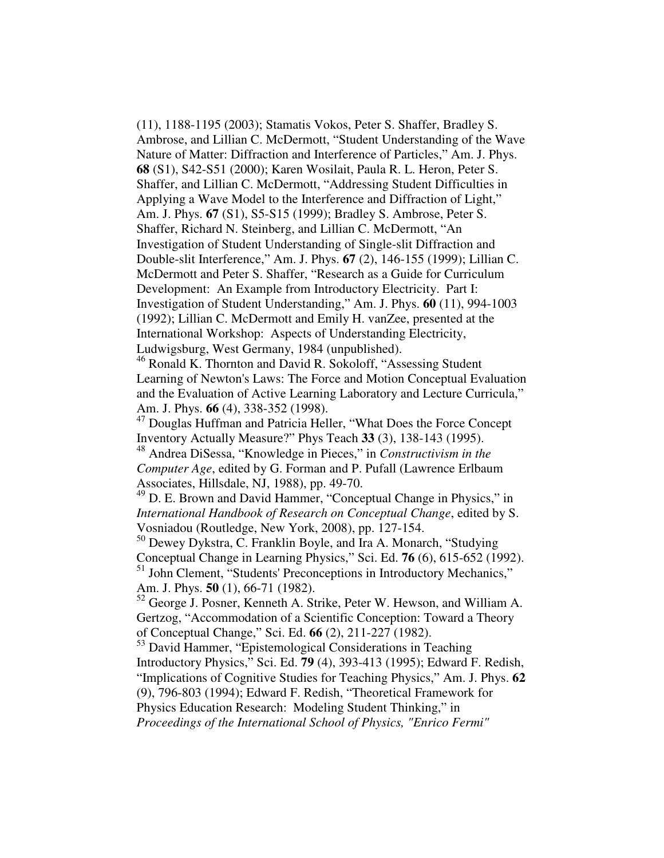(11), 1188-1195 (2003); Stamatis Vokos, Peter S. Shaffer, Bradley S. Ambrose, and Lillian C. McDermott, "Student Understanding of the Wave Nature of Matter: Diffraction and Interference of Particles," Am. J. Phys. **68** (S1), S42-S51 (2000); Karen Wosilait, Paula R. L. Heron, Peter S. Shaffer, and Lillian C. McDermott, "Addressing Student Difficulties in Applying a Wave Model to the Interference and Diffraction of Light," Am. J. Phys. **67** (S1), S5-S15 (1999); Bradley S. Ambrose, Peter S. Shaffer, Richard N. Steinberg, and Lillian C. McDermott, "An Investigation of Student Understanding of Single-slit Diffraction and Double-slit Interference," Am. J. Phys. **67** (2), 146-155 (1999); Lillian C. McDermott and Peter S. Shaffer, "Research as a Guide for Curriculum Development: An Example from Introductory Electricity. Part I: Investigation of Student Understanding," Am. J. Phys. **60** (11), 994-1003 (1992); Lillian C. McDermott and Emily H. vanZee, presented at the International Workshop: Aspects of Understanding Electricity, Ludwigsburg, West Germany, 1984 (unpublished).

<sup>46</sup> Ronald K. Thornton and David R. Sokoloff, "Assessing Student Learning of Newton's Laws: The Force and Motion Conceptual Evaluation and the Evaluation of Active Learning Laboratory and Lecture Curricula," Am. J. Phys. **66** (4), 338-352 (1998).

<sup>47</sup> Douglas Huffman and Patricia Heller, "What Does the Force Concept" Inventory Actually Measure?" Phys Teach **33** (3), 138-143 (1995).

<sup>48</sup> Andrea DiSessa, "Knowledge in Pieces," in *Constructivism in the Computer Age*, edited by G. Forman and P. Pufall (Lawrence Erlbaum Associates, Hillsdale, NJ, 1988), pp. 49-70.

<sup>49</sup> D. E. Brown and David Hammer, "Conceptual Change in Physics," in *International Handbook of Research on Conceptual Change*, edited by S. Vosniadou (Routledge, New York, 2008), pp. 127-154.

<sup>50</sup> Dewey Dykstra, C. Franklin Boyle, and Ira A. Monarch, "Studying Conceptual Change in Learning Physics," Sci. Ed. **76** (6), 615-652 (1992). <sup>51</sup> John Clement, "Students' Preconceptions in Introductory Mechanics," Am. J. Phys. **50** (1), 66-71 (1982).

 $52$  George J. Posner, Kenneth A. Strike, Peter W. Hewson, and William A. Gertzog, "Accommodation of a Scientific Conception: Toward a Theory of Conceptual Change," Sci. Ed. **66** (2), 211-227 (1982).

<sup>53</sup> David Hammer, "Epistemological Considerations in Teaching Introductory Physics," Sci. Ed. **79** (4), 393-413 (1995); Edward F. Redish, "Implications of Cognitive Studies for Teaching Physics," Am. J. Phys. **62** (9), 796-803 (1994); Edward F. Redish, "Theoretical Framework for Physics Education Research: Modeling Student Thinking," in *Proceedings of the International School of Physics, "Enrico Fermi"*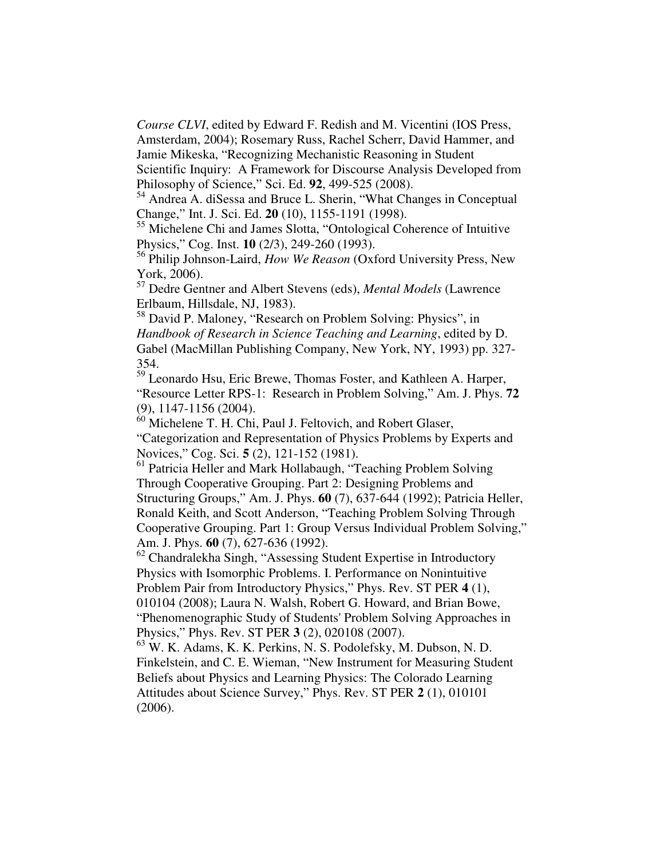*Course CLVI*, edited by Edward F. Redish and M. Vicentini (IOS Press, Amsterdam, 2004); Rosemary Russ, Rachel Scherr, David Hammer, and Jamie Mikeska, "Recognizing Mechanistic Reasoning in Student

Scientific Inquiry: A Framework for Discourse Analysis Developed from Philosophy of Science," Sci. Ed. **92**, 499-525 (2008).

<sup>54</sup> Andrea A. diSessa and Bruce L. Sherin, "What Changes in Conceptual Change," Int. J. Sci. Ed. **20** (10), 1155-1191 (1998).

<sup>55</sup> Michelene Chi and James Slotta, "Ontological Coherence of Intuitive Physics," Cog. Inst. **10** (2/3), 249-260 (1993).

56 Philip Johnson-Laird, *How We Reason* (Oxford University Press, New York, 2006).

<sup>57</sup> Dedre Gentner and Albert Stevens (eds), *Mental Models* (Lawrence Erlbaum, Hillsdale, NJ, 1983).

<sup>58</sup> David P. Maloney, "Research on Problem Solving: Physics", in *Handbook of Research in Science Teaching and Learning*, edited by D. Gabel (MacMillan Publishing Company, New York, NY, 1993) pp. 327- 354.

<sup>59</sup> Leonardo Hsu, Eric Brewe, Thomas Foster, and Kathleen A. Harper, "Resource Letter RPS-1: Research in Problem Solving," Am. J. Phys. **72** (9), 1147-1156 (2004).

<sup>60</sup> Michelene T. H. Chi, Paul J. Feltovich, and Robert Glaser, "Categorization and Representation of Physics Problems by Experts and Novices," Cog. Sci. **5** (2), 121-152 (1981).

<sup>61</sup> Patricia Heller and Mark Hollabaugh, "Teaching Problem Solving Through Cooperative Grouping. Part 2: Designing Problems and Structuring Groups," Am. J. Phys. **60** (7), 637-644 (1992); Patricia Heller, Ronald Keith, and Scott Anderson, "Teaching Problem Solving Through Cooperative Grouping. Part 1: Group Versus Individual Problem Solving," Am. J. Phys. **60** (7), 627-636 (1992).

 $62$  Chandralekha Singh, "Assessing Student Expertise in Introductory Physics with Isomorphic Problems. I. Performance on Nonintuitive Problem Pair from Introductory Physics," Phys. Rev. ST PER **4** (1), 010104 (2008); Laura N. Walsh, Robert G. Howard, and Brian Bowe, "Phenomenographic Study of Students'Problem Solving Approaches in

Physics," Phys. Rev. ST PER **3** (2), 020108 (2007).

<sup>63</sup> W. K. Adams, K. K. Perkins, N. S. Podolefsky, M. Dubson, N. D. Finkelstein, and C. E. Wieman, "New Instrument for Measuring Student Beliefs about Physics and Learning Physics: The Colorado Learning Attitudes about Science Survey," Phys. Rev. ST PER **2** (1), 010101 (2006).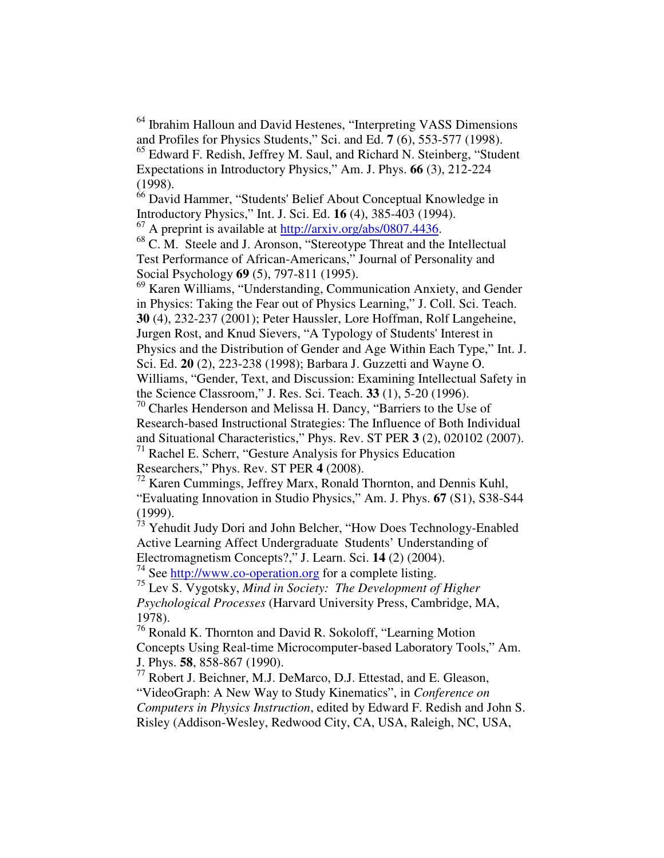<sup>64</sup> Ibrahim Halloun and David Hestenes, "Interpreting VASS Dimensions and Profiles for Physics Students," Sci. and Ed. **7** (6), 553-577 (1998). <sup>65</sup> Edward F. Redish, Jeffrey M. Saul, and Richard N. Steinberg, "Student

Expectations in Introductory Physics," Am. J. Phys. **66** (3), 212-224 (1998).

 $66$  David Hammer, "Students' Belief About Conceptual Knowledge in Introductory Physics," Int. J. Sci. Ed. **16** (4), 385-403 (1994). <sup>67</sup> A preprint is available at http://arxiv.org/abs/0807.4436.

<sup>68</sup> C. M. Steele and J. Aronson, "Stereotype Threat and the Intellectual Test Performance of African-Americans," Journal of Personality and Social Psychology **69** (5), 797-811 (1995).

<sup>69</sup> Karen Williams, "Understanding, Communication Anxiety, and Gender in Physics: Taking the Fear out of Physics Learning," J. Coll. Sci. Teach. **30** (4), 232-237 (2001); Peter Haussler, Lore Hoffman, Rolf Langeheine, Jurgen Rost, and Knud Sievers, "A Typology of Students' Interest in Physics and the Distribution of Gender and Age Within Each Type," Int. J. Sci. Ed. **20** (2), 223-238 (1998); Barbara J. Guzzetti and Wayne O. Williams, "Gender, Text, and Discussion: Examining Intellectual Safety in the Science Classroom," J. Res. Sci. Teach. **33** (1), 5-20 (1996).

 $70$  Charles Henderson and Melissa H. Dancy, "Barriers to the Use of Research-based Instructional Strategies: The Influence of Both Individual and Situational Characteristics," Phys. Rev. ST PER **3** (2), 020102 (2007). <sup>71</sup> Rachel E. Scherr, "Gesture Analysis for Physics Education

Researchers," Phys. Rev. ST PER **4** (2008).

 $^{72}$  Karen Cummings, Jeffrey Marx, Ronald Thornton, and Dennis Kuhl, "Evaluating Innovation in Studio Physics," Am. J. Phys. **67** (S1), S38-S44 (1999).

<sup>73</sup> Yehudit Judy Dori and John Belcher, "How Does Technology-Enabled Active Learning Affect Undergraduate Students' Understanding of Electromagnetism Concepts?," J. Learn. Sci. **14** (2) (2004).

<sup>74</sup> See http://www.co-operation.org for a complete listing.

75 Lev S. Vygotsky, *Mind in Society: The Development of Higher Psychological Processes* (Harvard University Press, Cambridge, MA, 1978).

<sup>76</sup> Ronald K. Thornton and David R. Sokoloff, "Learning Motion Concepts Using Real-time Microcomputer-based Laboratory Tools," Am. J. Phys. **58**, 858-867 (1990).

<sup>77</sup> Robert J. Beichner, M.J. DeMarco, D.J. Ettestad, and E. Gleason, "VideoGraph: A New Way to Study Kinematics", in *Conference on Computers in Physics Instruction*, edited by Edward F. Redish and John S. Risley (Addison-Wesley, Redwood City, CA, USA, Raleigh, NC, USA,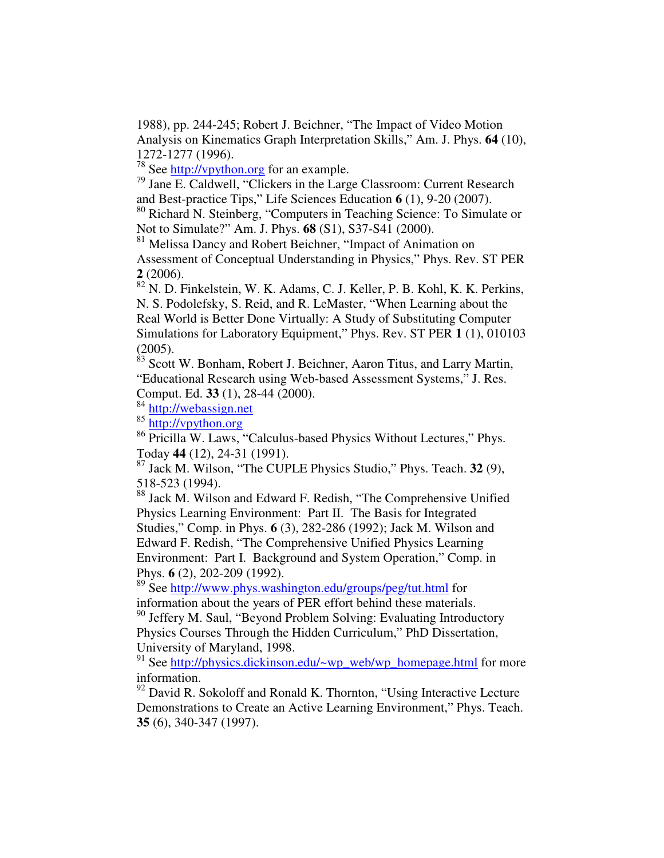1988), pp. 244-245; Robert J. Beichner, "The Impact of Video Motion Analysis on Kinematics Graph Interpretation Skills," Am. J. Phys. **64** (10), 1272-1277 (1996).

<sup>78</sup> See http://vpython.org for an example.

79 Jane E. Caldwell, "Clickers in the Large Classroom: Current Research and Best-practice Tips," Life Sciences Education **6** (1), 9-20 (2007).

<sup>80</sup> Richard N. Steinberg, "Computers in Teaching Science: To Simulate or Not to Simulate?" Am. J. Phys. **68** (S1), S37-S41 (2000).

<sup>81</sup> Melissa Dancy and Robert Beichner, "Impact of Animation on Assessment of Conceptual Understanding in Physics," Phys. Rev. ST PER **2** (2006).

<sup>82</sup> N. D. Finkelstein, W. K. Adams, C. J. Keller, P. B. Kohl, K. K. Perkins, N. S. Podolefsky, S. Reid, and R. LeMaster, "When Learning about the Real World is Better Done Virtually: A Study of Substituting Computer Simulations for Laboratory Equipment," Phys. Rev. ST PER **1** (1), 010103

(2005). 83 Scott W. Bonham, Robert J. Beichner, Aaron Titus, and Larry Martin, "Educational Research using Web-based Assessment Systems," J. Res. Comput. Ed. **33** (1), 28-44 (2000).

84 http://webassign.net

85 http://vpython.org

<sup>86</sup> Pricilla W. Laws, "Calculus-based Physics Without Lectures," Phys. Today **44** (12), 24-31 (1991).

87 Jack M. Wilson, "The CUPLE Physics Studio," Phys. Teach. **32** (9), 518-523 (1994).

<sup>88</sup> Jack M. Wilson and Edward F. Redish, "The Comprehensive Unified Physics Learning Environment: Part II. The Basis for Integrated Studies," Comp. in Phys. **6** (3), 282-286 (1992); Jack M. Wilson and Edward F. Redish, "The Comprehensive Unified Physics Learning Environment: Part I. Background and System Operation," Comp. in Phys. **6** (2), 202-209 (1992).

<sup>89</sup> See http://www.phys.washington.edu/groups/peg/tut.html for information about the years of PER effort behind these materials.

<sup>90</sup> Jeffery M. Saul, "Beyond Problem Solving: Evaluating Introductory Physics Courses Through the Hidden Curriculum," PhD Dissertation, University of Maryland, 1998.

<sup>91</sup> See http://physics.dickinson.edu/~wp\_web/wp\_homepage.html for more information.

 $92$  David R. Sokoloff and Ronald K. Thornton, "Using Interactive Lecture Demonstrations to Create an Active Learning Environment," Phys. Teach. **35** (6), 340-347 (1997).